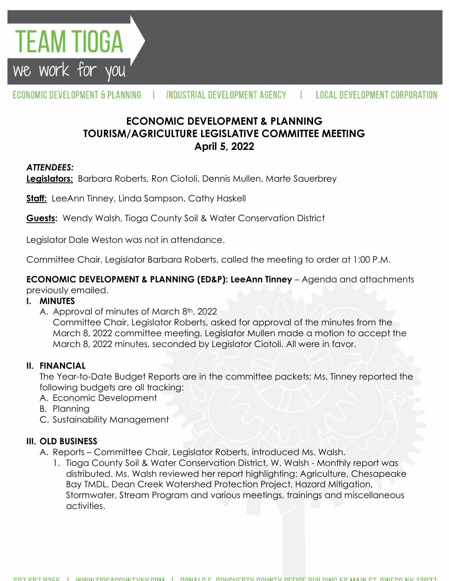

ECONOMIC DEVELOPMENT & PLANNING INDUSTRIAL DEVELOPMENT AGENCY **LOCAL DEVELOPMENT CORPORATION** 

# **ECONOMIC DEVELOPMENT & PLANNING TOURISM/AGRICULTURE LEGISLATIVE COMMITTEE MEETING April 5, 2022**

### *ATTENDEES:*

**Legislators:** Barbara Roberts, Ron Ciotoli, Dennis Mullen, Marte Sauerbrey

**Staff:** LeeAnn Tinney, Linda Sampson, Cathy Haskell

**Guests:** Wendy Walsh, Tioga County Soil & Water Conservation District

Legislator Dale Weston was not in attendance.

Committee Chair, Legislator Barbara Roberts, called the meeting to order at 1:00 P.M.

**ECONOMIC DEVELOPMENT & PLANNING (ED&P): LeeAnn Tinney** – Agenda and attachments previously emailed.

#### **I. MINUTES**

A. Approval of minutes of March 8<sup>th</sup>, 2022

Committee Chair, Legislator Roberts, asked for approval of the minutes from the March 8, 2022 committee meeting. Legislator Mullen made a motion to accept the March 8, 2022 minutes, seconded by Legislator Ciotoli. All were in favor.

### **II. FINANCIAL**

The Year-to-Date Budget Reports are in the committee packets; Ms. Tinney reported the following budgets are all tracking:

- A. Economic Development
- B. Planning
- C. Sustainability Management

### **III. OLD BUSINESS**

- A. Reports Committee Chair, Legislator Roberts, introduced Ms. Walsh.
	- 1. Tioga County Soil & Water Conservation District, W. Walsh Monthly report was distributed. Ms. Walsh reviewed her report highlighting: Agriculture, Chesapeake Bay TMDL, Dean Creek Watershed Protection Project, Hazard Mitigation, Stormwater, Stream Program and various meetings, trainings and miscellaneous activities.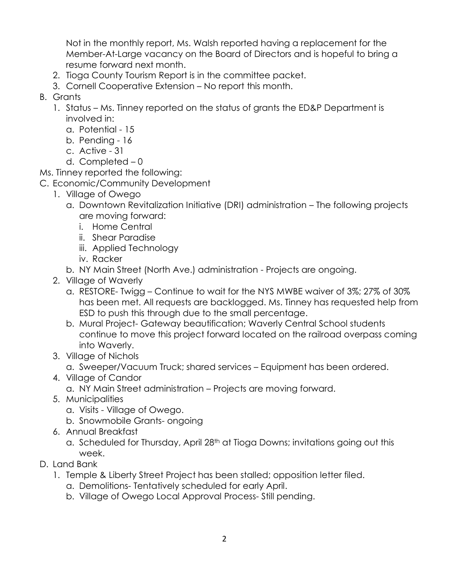Not in the monthly report, Ms. Walsh reported having a replacement for the Member-At-Large vacancy on the Board of Directors and is hopeful to bring a resume forward next month.

- 2. Tioga County Tourism Report is in the committee packet.
- 3. Cornell Cooperative Extension No report this month.
- B. Grants
	- 1. Status Ms. Tinney reported on the status of grants the ED&P Department is involved in:
		- a. Potential 15
		- b. Pending 16
		- c. Active 31
		- d. Completed 0

Ms. Tinney reported the following:

- C. Economic/Community Development
	- 1. Village of Owego
		- a. Downtown Revitalization Initiative (DRI) administration The following projects are moving forward:
			- i. Home Central
			- ii. Shear Paradise
			- iii. Applied Technology
			- iv. Racker
		- b. NY Main Street (North Ave.) administration Projects are ongoing.
	- 2. Village of Waverly
		- a. RESTORE- Twigg Continue to wait for the NYS MWBE waiver of 3%; 27% of 30% has been met. All requests are backlogged. Ms. Tinney has requested help from ESD to push this through due to the small percentage.
		- b. Mural Project- Gateway beautification; Waverly Central School students continue to move this project forward located on the railroad overpass coming into Waverly.
	- 3. Village of Nichols

a. Sweeper/Vacuum Truck; shared services – Equipment has been ordered.

- 4. Village of Candor
	- a. NY Main Street administration Projects are moving forward.
- 5. Municipalities
	- a. Visits Village of Owego.
	- b. Snowmobile Grants- ongoing
- 6. Annual Breakfast
	- a. Scheduled for Thursday, April 28<sup>th</sup> at Tioga Downs; invitations going out this week.
- D. Land Bank
	- 1. Temple & Liberty Street Project has been stalled; opposition letter filed.
		- a. Demolitions- Tentatively scheduled for early April.
		- b. Village of Owego Local Approval Process- Still pending.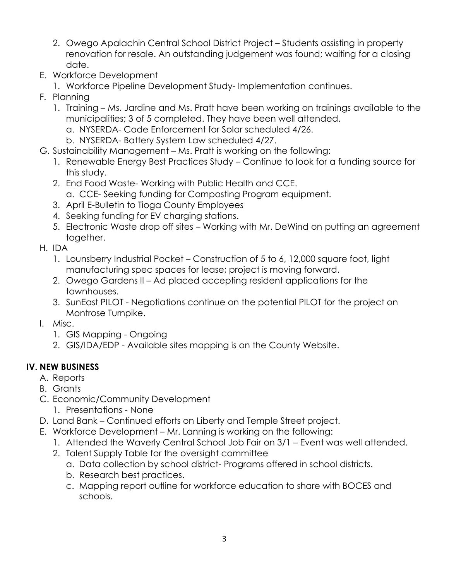- 2. Owego Apalachin Central School District Project Students assisting in property renovation for resale. An outstanding judgement was found; waiting for a closing date.
- E. Workforce Development
	- 1. Workforce Pipeline Development Study- Implementation continues.
- F. Planning
	- 1. Training Ms. Jardine and Ms. Pratt have been working on trainings available to the municipalities; 3 of 5 completed. They have been well attended.
		- a. NYSERDA- Code Enforcement for Solar scheduled 4/26.
		- b. NYSERDA- Battery System Law scheduled 4/27.
- G. Sustainability Management Ms. Pratt is working on the following:
	- 1. Renewable Energy Best Practices Study Continue to look for a funding source for this study.
	- 2. End Food Waste- Working with Public Health and CCE. a. CCE- Seeking funding for Composting Program equipment.
	- 3. April E-Bulletin to Tioga County Employees
	- 4. Seeking funding for EV charging stations.
	- 5. Electronic Waste drop off sites Working with Mr. DeWind on putting an agreement together.
- H. IDA
	- 1. Lounsberry Industrial Pocket Construction of 5 to 6, 12,000 square foot, light manufacturing spec spaces for lease; project is moving forward.
	- 2. Owego Gardens II Ad placed accepting resident applications for the townhouses.
	- 3. SunEast PILOT Negotiations continue on the potential PILOT for the project on Montrose Turnpike.
- I. Misc.
	- 1. GIS Mapping Ongoing
	- 2. GIS/IDA/EDP Available sites mapping is on the County Website.

## **IV. NEW BUSINESS**

- A. Reports
- B. Grants
- C. Economic/Community Development
	- 1. Presentations None
- D. Land Bank Continued efforts on Liberty and Temple Street project.
- E. Workforce Development Mr. Lanning is working on the following:
	- 1. Attended the Waverly Central School Job Fair on 3/1 Event was well attended.
	- 2. Talent Supply Table for the oversight committee
		- a. Data collection by school district- Programs offered in school districts.
		- b. Research best practices.
		- c. Mapping report outline for workforce education to share with BOCES and schools.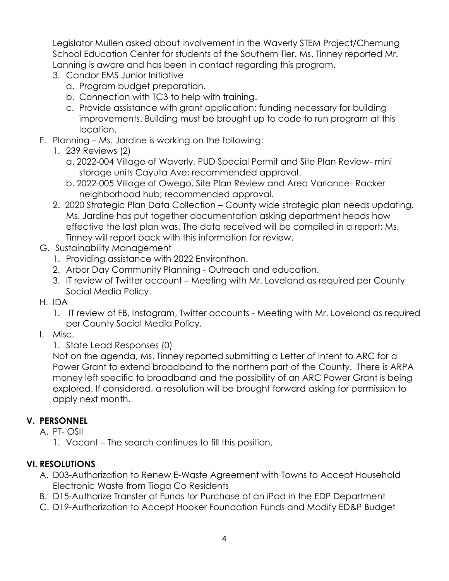Legislator Mullen asked about involvement in the Waverly STEM Project/Chemung School Education Center for students of the Southern Tier. Ms. Tinney reported Mr. Lanning is aware and has been in contact regarding this program.

- 3. Candor EMS Junior Initiative
	- a. Program budget preparation.
	- b. Connection with TC3 to help with training.
	- c. Provide assistance with grant application; funding necessary for building improvements. Building must be brought up to code to run program at this location.
- F. Planning Ms. Jardine is working on the following:
	- 1. 239 Reviews (2)
		- a. 2022-004 Village of Waverly, PUD Special Permit and Site Plan Review- mini storage units Cayuta Ave; recommended approval.
		- b. 2022-005 Village of Owego, Site Plan Review and Area Variance- Racker neighborhood hub; recommended approval.
	- 2. 2020 Strategic Plan Data Collection County wide strategic plan needs updating. Ms. Jardine has put together documentation asking department heads how effective the last plan was. The data received will be compiled in a report; Ms. Tinney will report back with this information for review.
- G. Sustainability Management
	- 1. Providing assistance with 2022 Environthon.
	- 2. Arbor Day Community Planning Outreach and education.
	- 3. IT review of Twitter account Meeting with Mr. Loveland as required per County Social Media Policy.
- H. IDA
	- 1. IT review of FB, Instagram, Twitter accounts Meeting with Mr. Loveland as required per County Social Media Policy.
- I. Misc.
	- 1. State Lead Responses (0)

Not on the agenda, Ms. Tinney reported submitting a Letter of Intent to ARC for a Power Grant to extend broadband to the northern part of the County. There is ARPA money left specific to broadband and the possibility of an ARC Power Grant is being explored. If considered, a resolution will be brought forward asking for permission to apply next month.

## **V. PERSONNEL**

A. PT- OSII

1. Vacant – The search continues to fill this position.

## **VI. RESOLUTIONS**

- A. D03-Authorization to Renew E-Waste Agreement with Towns to Accept Household Electronic Waste from Tioga Co Residents
- B. D15-Authorize Transfer of Funds for Purchase of an iPad in the EDP Department
- C. D19-Authorization to Accept Hooker Foundation Funds and Modify ED&P Budget